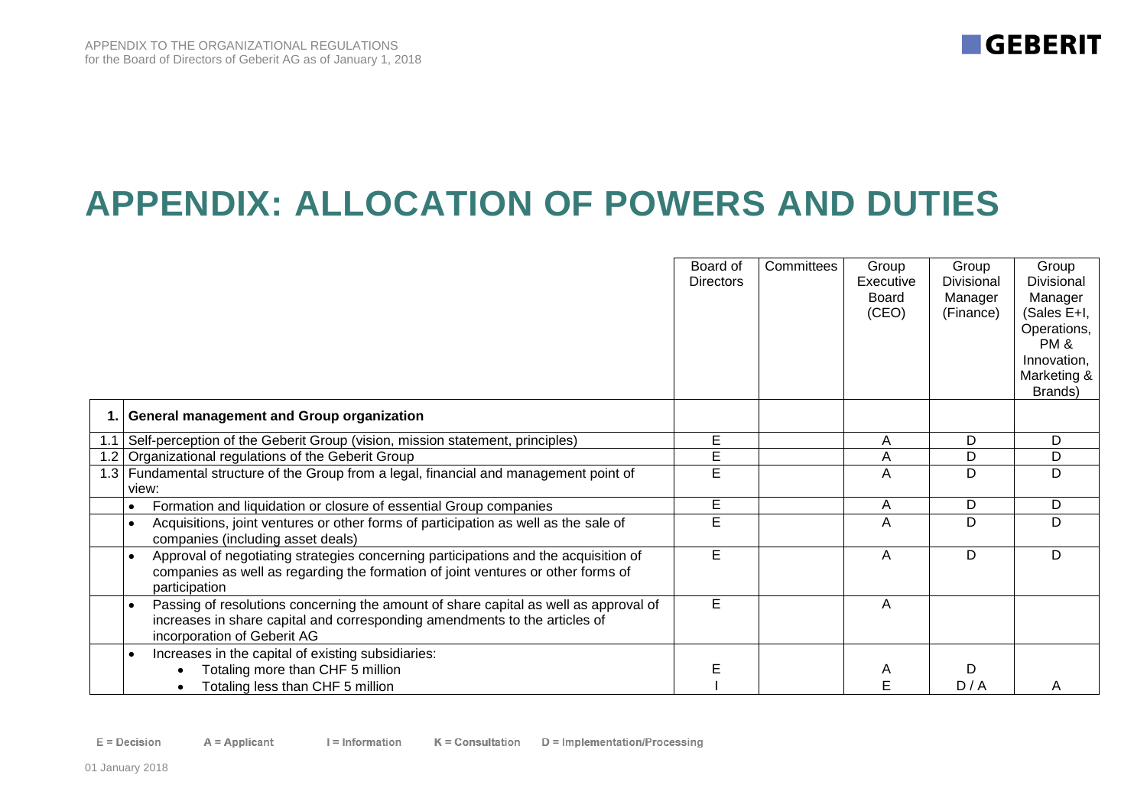

## **APPENDIX: ALLOCATION OF POWERS AND DUTIES**

|                                                                                                                                                                                                   | Board of<br><b>Directors</b> | Committees | Group<br>Executive<br>Board<br>(CEO) | Group<br>Divisional<br>Manager<br>(Finance) | Group<br><b>Divisional</b><br>Manager<br>(Sales E+I,<br>Operations,<br>PM&<br>Innovation,<br>Marketing &<br>Brands) |
|---------------------------------------------------------------------------------------------------------------------------------------------------------------------------------------------------|------------------------------|------------|--------------------------------------|---------------------------------------------|---------------------------------------------------------------------------------------------------------------------|
| 1. General management and Group organization                                                                                                                                                      |                              |            |                                      |                                             |                                                                                                                     |
| Self-perception of the Geberit Group (vision, mission statement, principles)                                                                                                                      | E                            |            | A                                    | D                                           | D                                                                                                                   |
| 1.2   Organizational regulations of the Geberit Group                                                                                                                                             | E                            |            | A                                    | D                                           | D                                                                                                                   |
| 1.3   Fundamental structure of the Group from a legal, financial and management point of                                                                                                          | E                            |            | A                                    | D                                           | D                                                                                                                   |
| view:                                                                                                                                                                                             |                              |            |                                      |                                             |                                                                                                                     |
| Formation and liquidation or closure of essential Group companies<br>$\bullet$                                                                                                                    | E                            |            | A                                    | D                                           | D                                                                                                                   |
| Acquisitions, joint ventures or other forms of participation as well as the sale of<br>$\bullet$<br>companies (including asset deals)                                                             | E                            |            | A                                    | D                                           | D                                                                                                                   |
| Approval of negotiating strategies concerning participations and the acquisition of<br>companies as well as regarding the formation of joint ventures or other forms of<br>participation          | E                            |            | A                                    | D                                           | D                                                                                                                   |
| Passing of resolutions concerning the amount of share capital as well as approval of<br>increases in share capital and corresponding amendments to the articles of<br>incorporation of Geberit AG | E                            |            | A                                    |                                             |                                                                                                                     |
| Increases in the capital of existing subsidiaries:                                                                                                                                                |                              |            |                                      |                                             |                                                                                                                     |
| Totaling more than CHF 5 million                                                                                                                                                                  |                              |            | A                                    | D                                           |                                                                                                                     |
| Totaling less than CHF 5 million                                                                                                                                                                  |                              |            | Е                                    | D/A                                         | Α                                                                                                                   |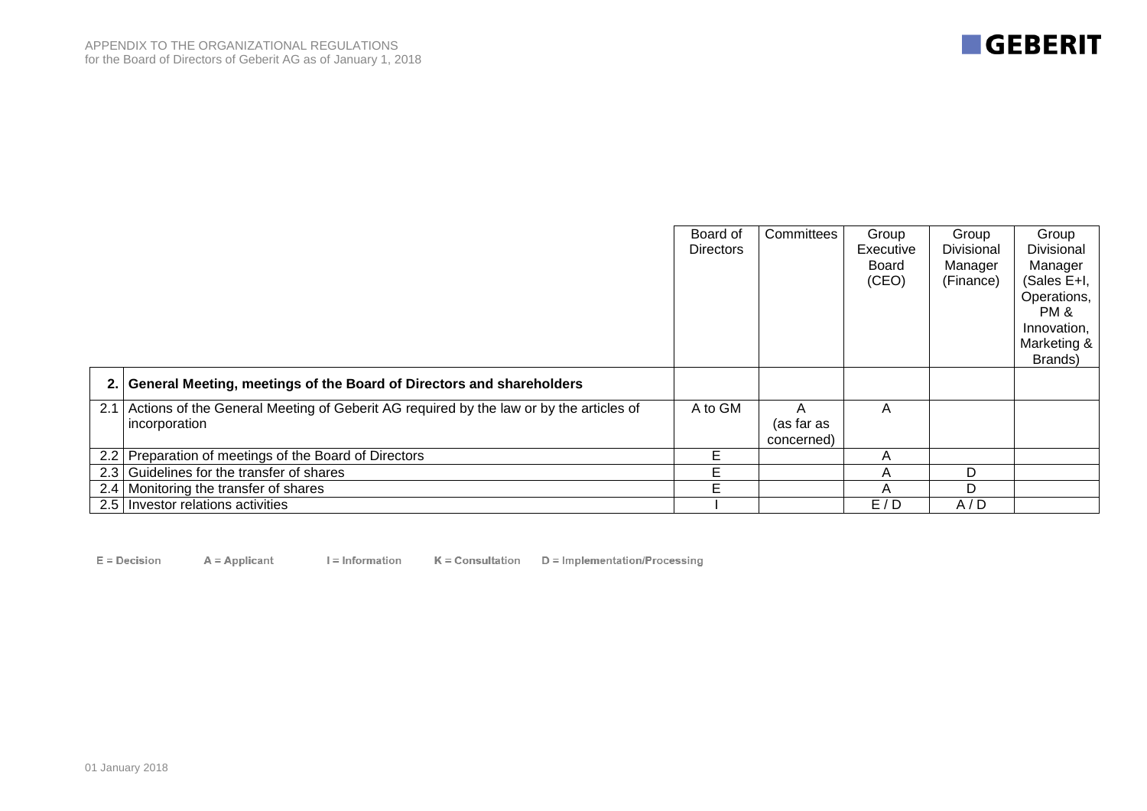**GEBERIT** 

|     |                                                                                        | Board of         | Committees | Group     | Group      | Group       |
|-----|----------------------------------------------------------------------------------------|------------------|------------|-----------|------------|-------------|
|     |                                                                                        | <b>Directors</b> |            | Executive | Divisional | Divisional  |
|     |                                                                                        |                  |            | Board     | Manager    | Manager     |
|     |                                                                                        |                  |            | (CEO)     | (Finance)  | (Sales E+I, |
|     |                                                                                        |                  |            |           |            | Operations, |
|     |                                                                                        |                  |            |           |            | PM &        |
|     |                                                                                        |                  |            |           |            | Innovation, |
|     |                                                                                        |                  |            |           |            | Marketing & |
|     |                                                                                        |                  |            |           |            | Brands)     |
|     | 2. General Meeting, meetings of the Board of Directors and shareholders                |                  |            |           |            |             |
| 2.1 | Actions of the General Meeting of Geberit AG required by the law or by the articles of | A to GM          | A          | A         |            |             |
|     | incorporation                                                                          |                  | (as far as |           |            |             |
|     |                                                                                        |                  | concerned) |           |            |             |
|     | 2.2 Preparation of meetings of the Board of Directors                                  |                  |            | A         |            |             |
|     | 2.3 Guidelines for the transfer of shares                                              |                  |            | A         | D          |             |
|     | 2.4   Monitoring the transfer of shares                                                | E                |            | A         | D          |             |
|     | 2.5   Investor relations activities                                                    |                  |            | E/D       | A/D        |             |

 $A = Applicant$  $K =$  Consultation  $D =$  Implementation/Processing  $E =$  Decision I = Information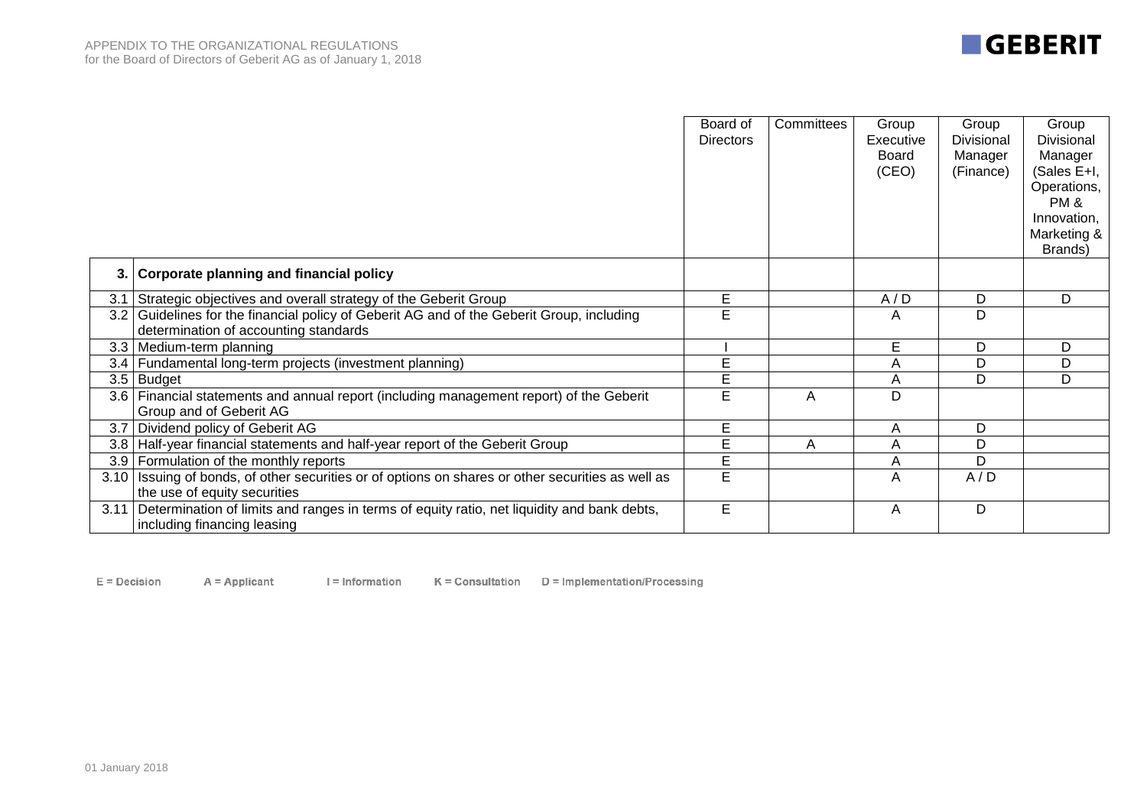|                  |                                                                                                                                | Board of<br><b>Directors</b> | Committees | Group<br>Executive<br>Board<br>(CEO) | Group<br>Divisional<br>Manager<br>(Finance) | Group<br><b>Divisional</b><br>Manager<br>(Sales E+I,<br>Operations,<br>PM&<br>Innovation,<br>Marketing &<br>Brands) |
|------------------|--------------------------------------------------------------------------------------------------------------------------------|------------------------------|------------|--------------------------------------|---------------------------------------------|---------------------------------------------------------------------------------------------------------------------|
| 3.               | <b>Corporate planning and financial policy</b>                                                                                 |                              |            |                                      |                                             |                                                                                                                     |
| 3.1              | Strategic objectives and overall strategy of the Geberit Group                                                                 | Е                            |            | A/D                                  | D                                           | D                                                                                                                   |
| 3.2              | Guidelines for the financial policy of Geberit AG and of the Geberit Group, including<br>determination of accounting standards | E                            |            | A                                    | D                                           |                                                                                                                     |
|                  | 3.3   Medium-term planning                                                                                                     |                              |            | E                                    | D                                           | D                                                                                                                   |
| 3.4              | Fundamental long-term projects (investment planning)                                                                           | E                            |            | Α                                    | D                                           | D                                                                                                                   |
|                  | $3.5$ Budget                                                                                                                   | E                            |            | A                                    | D                                           | D                                                                                                                   |
| 3.6              | Financial statements and annual report (including management report) of the Geberit<br>Group and of Geberit AG                 | E                            | A          | D                                    |                                             |                                                                                                                     |
| 3.7              | Dividend policy of Geberit AG                                                                                                  | Е                            |            | A                                    | D                                           |                                                                                                                     |
| 3.8 <sub>1</sub> | Half-year financial statements and half-year report of the Geberit Group                                                       | E                            | A          | A                                    | D                                           |                                                                                                                     |
|                  | 3.9   Formulation of the monthly reports                                                                                       | E                            |            | Α                                    | D                                           |                                                                                                                     |
| 3.10             | Issuing of bonds, of other securities or of options on shares or other securities as well as<br>the use of equity securities   | E                            |            | Α                                    | A/D                                         |                                                                                                                     |
| 3.11             | Determination of limits and ranges in terms of equity ratio, net liquidity and bank debts,<br>including financing leasing      | E                            |            | A                                    | D                                           |                                                                                                                     |

D = Implementation/Processing  $A = Applicant$  $E = Decision$ I = Information K = Consultation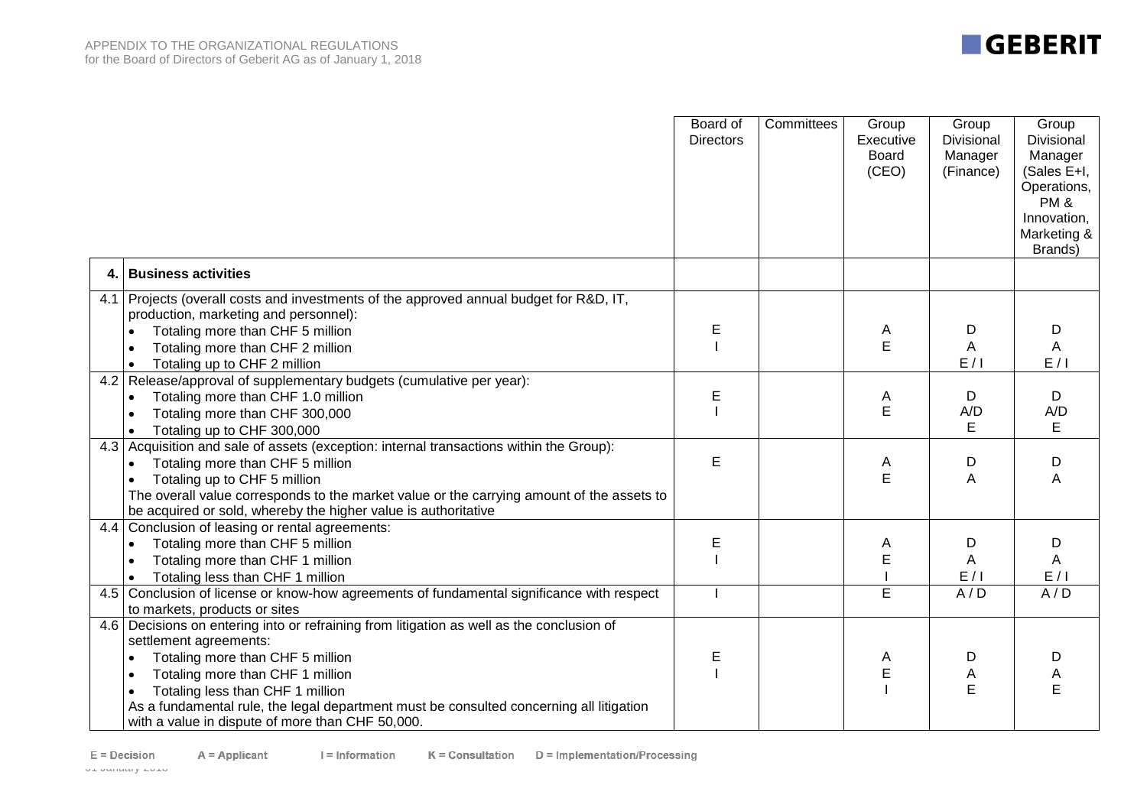|      |                                                                                                                                                                                                                                                                                                                                                                                             | Board of<br><b>Directors</b> | Committees | Group<br>Executive<br><b>Board</b><br>(CEO) | Group<br>Divisional<br>Manager<br>(Finance) | Group<br>Divisional<br>Manager<br>(Sales E+I,<br>Operations,<br>PM&<br>Innovation,<br>Marketing &<br>Brands) |
|------|---------------------------------------------------------------------------------------------------------------------------------------------------------------------------------------------------------------------------------------------------------------------------------------------------------------------------------------------------------------------------------------------|------------------------------|------------|---------------------------------------------|---------------------------------------------|--------------------------------------------------------------------------------------------------------------|
| 4. I | <b>Business activities</b>                                                                                                                                                                                                                                                                                                                                                                  |                              |            |                                             |                                             |                                                                                                              |
|      | 4.1 Projects (overall costs and investments of the approved annual budget for R&D, IT,<br>production, marketing and personnel):<br>Totaling more than CHF 5 million<br>Totaling more than CHF 2 million<br>$\bullet$<br>Totaling up to CHF 2 million<br>$\bullet$                                                                                                                           | Е                            |            | A<br>E                                      | D<br>Α<br>E/1                               | D<br>A<br>E/1                                                                                                |
|      | 4.2 Release/approval of supplementary budgets (cumulative per year):<br>Totaling more than CHF 1.0 million<br>$\bullet$<br>Totaling more than CHF 300,000<br>$\bullet$<br>Totaling up to CHF 300,000<br>$\bullet$                                                                                                                                                                           | E                            |            | Α<br>E                                      | D<br>A/D<br>E                               | D<br>A/D<br>E                                                                                                |
|      | 4.3 Acquisition and sale of assets (exception: internal transactions within the Group):<br>Totaling more than CHF 5 million<br>$\bullet$<br>Totaling up to CHF 5 million<br>The overall value corresponds to the market value or the carrying amount of the assets to<br>be acquired or sold, whereby the higher value is authoritative                                                     | E                            |            | A<br>E                                      | D<br>A                                      | D<br>A                                                                                                       |
|      | 4.4 Conclusion of leasing or rental agreements:<br>Totaling more than CHF 5 million<br>$\bullet$<br>Totaling more than CHF 1 million<br>Totaling less than CHF 1 million<br>$\bullet$                                                                                                                                                                                                       | Е                            |            | A<br>E                                      | D<br>Α<br>E/1                               | D<br>A<br>E/1                                                                                                |
|      | 4.5 Conclusion of license or know-how agreements of fundamental significance with respect<br>to markets, products or sites                                                                                                                                                                                                                                                                  |                              |            | E                                           | A/D                                         | A/D                                                                                                          |
|      | 4.6 Decisions on entering into or refraining from litigation as well as the conclusion of<br>settlement agreements:<br>Totaling more than CHF 5 million<br>Totaling more than CHF 1 million<br>$\bullet$<br>Totaling less than CHF 1 million<br>As a fundamental rule, the legal department must be consulted concerning all litigation<br>with a value in dispute of more than CHF 50,000. | Е                            |            | A<br>E                                      | D<br>Α<br>E                                 | D<br>Α<br>E                                                                                                  |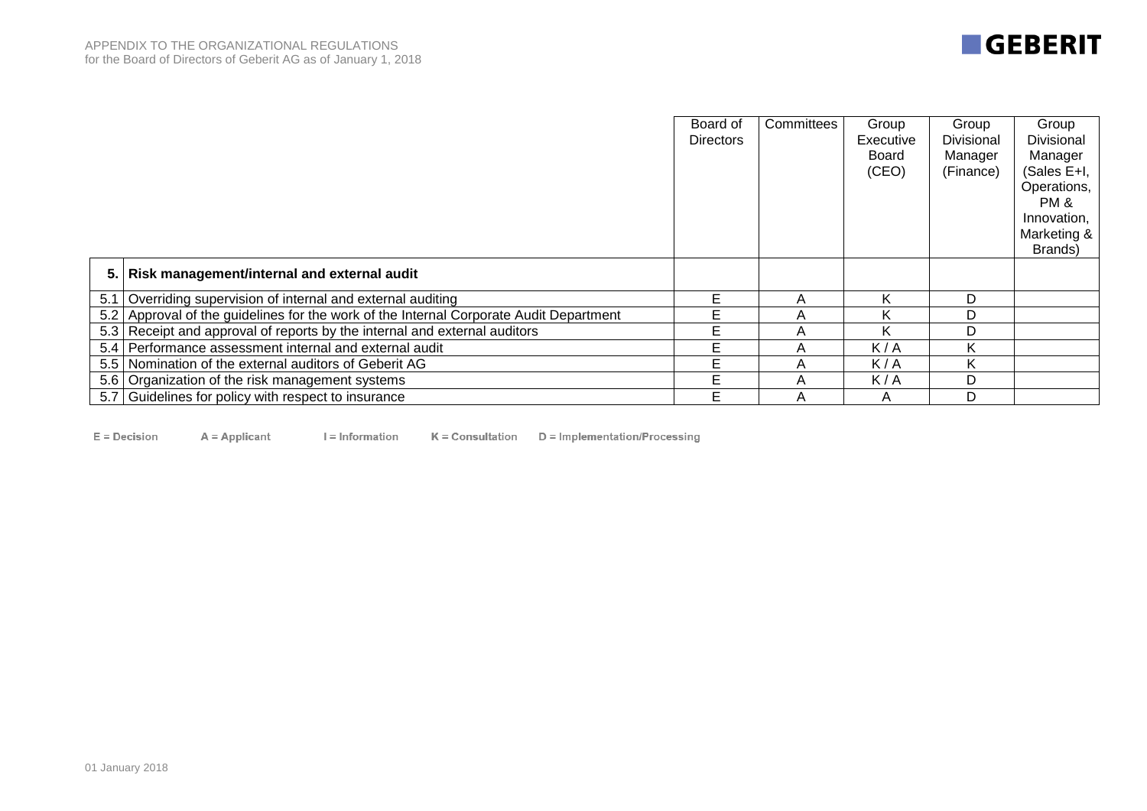|     |                                                                                        | Board of<br><b>Directors</b> | Committees | Group<br>Executive<br>Board<br>(CEO) | Group<br>Divisional<br>Manager<br>(Finance) | Group<br>Divisional<br>Manager<br>(Sales E+I,<br>Operations,<br>PM &<br>Innovation,<br>Marketing &<br>Brands) |
|-----|----------------------------------------------------------------------------------------|------------------------------|------------|--------------------------------------|---------------------------------------------|---------------------------------------------------------------------------------------------------------------|
|     | 5. Risk management/internal and external audit                                         |                              |            |                                      |                                             |                                                                                                               |
| 5.1 | Overriding supervision of internal and external auditing                               | Е                            | Α          |                                      | D                                           |                                                                                                               |
|     | 5.2 Approval of the guidelines for the work of the Internal Corporate Audit Department | E                            | Α          |                                      | D                                           |                                                                                                               |
|     | 5.3 Receipt and approval of reports by the internal and external auditors              | Е                            | Α          |                                      | D                                           |                                                                                                               |
|     | 5.4 Performance assessment internal and external audit                                 | E                            | Α          | K/A                                  | Κ                                           |                                                                                                               |
|     | 5.5 Nomination of the external auditors of Geberit AG                                  | Е                            | Α          | K/A                                  | K                                           |                                                                                                               |
|     | 5.6 Organization of the risk management systems                                        | Е                            | Α          | K/A                                  | D                                           |                                                                                                               |
|     | 5.7 Guidelines for policy with respect to insurance                                    | Е                            | Α          | A                                    | D                                           |                                                                                                               |

A = Applicant  $K =$  Consultation  $D =$  Implementation/Processing  $E = Decision$ I = Information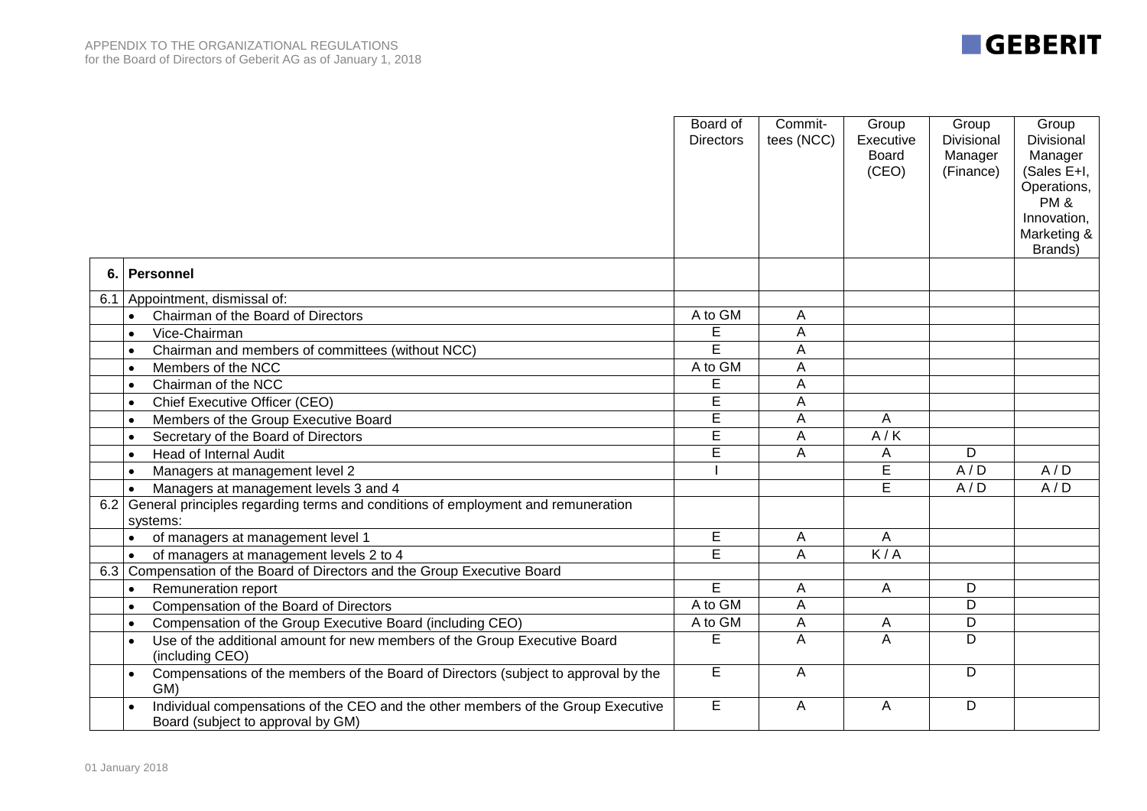|     |                                                                                                                       | Board of<br><b>Directors</b> | Commit-<br>tees (NCC) | Group<br>Executive<br>Board<br>(CEO) | Group<br>Divisional<br>Manager<br>(Finance) | Group<br>Divisional<br>Manager<br>(Sales E+I,                           |
|-----|-----------------------------------------------------------------------------------------------------------------------|------------------------------|-----------------------|--------------------------------------|---------------------------------------------|-------------------------------------------------------------------------|
|     |                                                                                                                       |                              |                       |                                      |                                             | Operations,<br><b>PM &amp;</b><br>Innovation,<br>Marketing &<br>Brands) |
| 6.  | Personnel                                                                                                             |                              |                       |                                      |                                             |                                                                         |
| 6.1 | Appointment, dismissal of:                                                                                            |                              |                       |                                      |                                             |                                                                         |
|     | Chairman of the Board of Directors                                                                                    | A to GM                      | Α                     |                                      |                                             |                                                                         |
|     | Vice-Chairman<br>$\bullet$                                                                                            | E                            | A                     |                                      |                                             |                                                                         |
|     | Chairman and members of committees (without NCC)<br>$\bullet$                                                         | Ē                            | A                     |                                      |                                             |                                                                         |
|     | Members of the NCC<br>$\bullet$                                                                                       | A to GM                      | A                     |                                      |                                             |                                                                         |
|     | Chairman of the NCC<br>$\bullet$                                                                                      | E                            | A                     |                                      |                                             |                                                                         |
|     | Chief Executive Officer (CEO)<br>$\bullet$                                                                            | E                            | A                     |                                      |                                             |                                                                         |
|     | Members of the Group Executive Board<br>$\bullet$                                                                     | E                            | A                     | A                                    |                                             |                                                                         |
|     | Secretary of the Board of Directors<br>$\bullet$                                                                      | E                            | A                     | A/K                                  |                                             |                                                                         |
|     | Head of Internal Audit<br>$\bullet$                                                                                   | E                            | A                     | A                                    | D                                           |                                                                         |
|     | Managers at management level 2<br>$\bullet$                                                                           |                              |                       | E                                    | A/D                                         | A/D                                                                     |
|     | Managers at management levels 3 and 4<br>$\bullet$                                                                    |                              |                       | E                                    | A/D                                         | A/D                                                                     |
|     | 6.2 General principles regarding terms and conditions of employment and remuneration<br>systems:                      |                              |                       |                                      |                                             |                                                                         |
|     | of managers at management level 1<br>$\bullet$                                                                        | E                            | A                     | A                                    |                                             |                                                                         |
|     | of managers at management levels 2 to 4<br>$\bullet$                                                                  | E                            | A                     | K/A                                  |                                             |                                                                         |
|     | 6.3 Compensation of the Board of Directors and the Group Executive Board                                              |                              |                       |                                      |                                             |                                                                         |
|     | Remuneration report<br>$\bullet$                                                                                      | E                            | Α                     | A                                    | D                                           |                                                                         |
|     | Compensation of the Board of Directors<br>$\bullet$                                                                   | A to GM                      | A                     |                                      | D                                           |                                                                         |
|     | Compensation of the Group Executive Board (including CEO)<br>$\bullet$                                                | A to GM                      | A                     | A                                    | D                                           |                                                                         |
|     | Use of the additional amount for new members of the Group Executive Board<br>$\bullet$<br>(including CEO)             | E                            | A                     | A                                    | D                                           |                                                                         |
|     | Compensations of the members of the Board of Directors (subject to approval by the<br>$\bullet$<br>GM)                | $\overline{E}$               | A                     |                                      | D                                           |                                                                         |
|     | Individual compensations of the CEO and the other members of the Group Executive<br>Board (subject to approval by GM) | E                            | A                     | A                                    | D                                           |                                                                         |